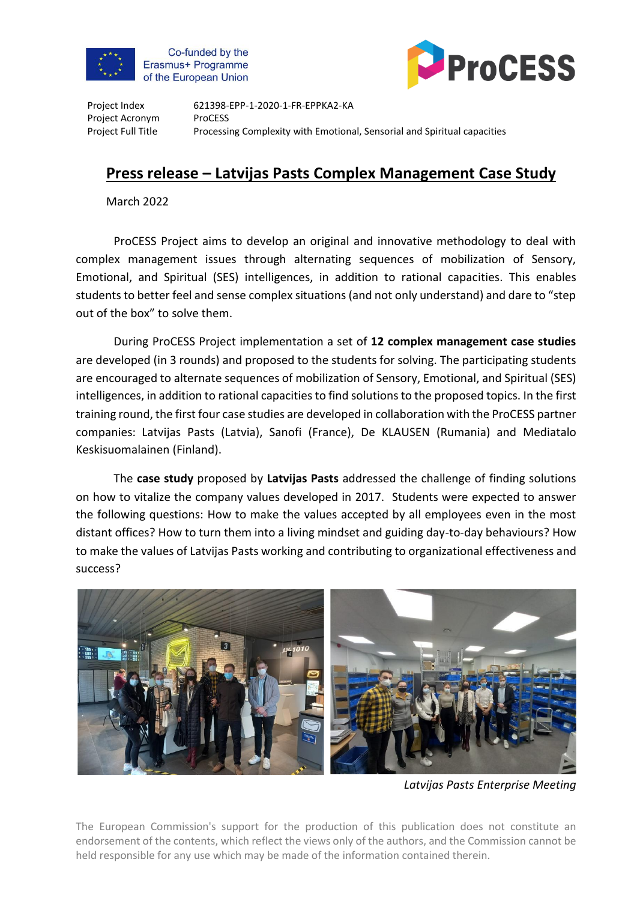

Co-funded by the Erasmus+ Programme of the European Union



Project Index Project Acronym Project Full Title

621398-EPP-1-2020-1-FR-EPPKA2-KA ProCESS Processing Complexity with Emotional, Sensorial and Spiritual capacities

## **Press release – Latvijas Pasts Complex Management Case Study**

March 2022

ProCESS Project aims to develop an original and innovative methodology to deal with complex management issues through alternating sequences of mobilization of Sensory, Emotional, and Spiritual (SES) intelligences, in addition to rational capacities. This enables students to better feel and sense complex situations (and not only understand) and dare to "step out of the box" to solve them.

During ProCESS Project implementation a set of **12 complex management case studies** are developed (in 3 rounds) and proposed to the students for solving. The participating students are encouraged to alternate sequences of mobilization of Sensory, Emotional, and Spiritual (SES) intelligences, in addition to rational capacities to find solutions to the proposed topics. In the first training round, the first four case studies are developed in collaboration with the ProCESS partner companies: Latvijas Pasts (Latvia), Sanofi (France), De KLAUSEN (Rumania) and Mediatalo Keskisuomalainen (Finland).

The **case study** proposed by **Latvijas Pasts** addressed the challenge of finding solutions on how to vitalize the company values developed in 2017. Students were expected to answer the following questions: How to make the values accepted by all employees even in the most distant offices? How to turn them into a living mindset and guiding day-to-day behaviours? How to make the values of Latvijas Pasts working and contributing to organizational effectiveness and success?



*Latvijas Pasts Enterprise Meeting*

The European Commission's support for the production of this publication does not constitute an endorsement of the contents, which reflect the views only of the authors, and the Commission cannot be held responsible for any use which may be made of the information contained therein.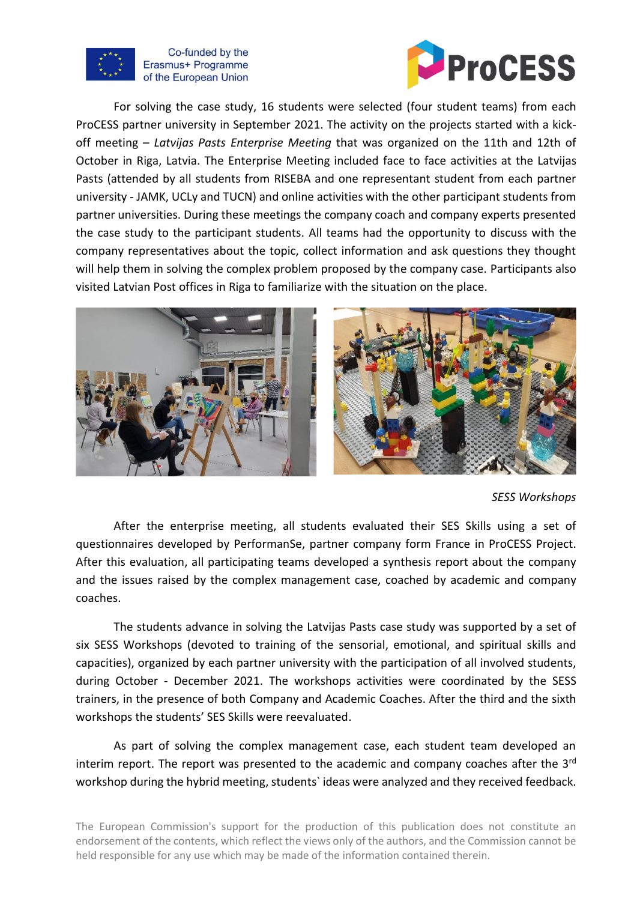

## Co-funded by the Erasmus+ Programme of the European Union



For solving the case study, 16 students were selected (four student teams) from each ProCESS partner university in September 2021. The activity on the projects started with a kickoff meeting – *Latvijas Pasts Enterprise Meeting* that was organized on the 11th and 12th of October in Riga, Latvia. The Enterprise Meeting included face to face activities at the Latvijas Pasts (attended by all students from RISEBA and one representant student from each partner university - JAMK, UCLy and TUCN) and online activities with the other participant students from partner universities. During these meetings the company coach and company experts presented the case study to the participant students. All teams had the opportunity to discuss with the company representatives about the topic, collect information and ask questions they thought will help them in solving the complex problem proposed by the company case. Participants also visited Latvian Post offices in Riga to familiarize with the situation on the place.



*SESS Workshops* 

After the enterprise meeting, all students evaluated their SES Skills using a set of questionnaires developed by PerformanSe, partner company form France in ProCESS Project. After this evaluation, all participating teams developed a synthesis report about the company and the issues raised by the complex management case, coached by academic and company coaches.

The students advance in solving the Latvijas Pasts case study was supported by a set of six SESS Workshops (devoted to training of the sensorial, emotional, and spiritual skills and capacities), organized by each partner university with the participation of all involved students, during October - December 2021. The workshops activities were coordinated by the SESS trainers, in the presence of both Company and Academic Coaches. After the third and the sixth workshops the students' SES Skills were reevaluated.

As part of solving the complex management case, each student team developed an interim report. The report was presented to the academic and company coaches after the 3<sup>rd</sup> workshop during the hybrid meeting, students` ideas were analyzed and they received feedback.

The European Commission's support for the production of this publication does not constitute an endorsement of the contents, which reflect the views only of the authors, and the Commission cannot be held responsible for any use which may be made of the information contained therein.